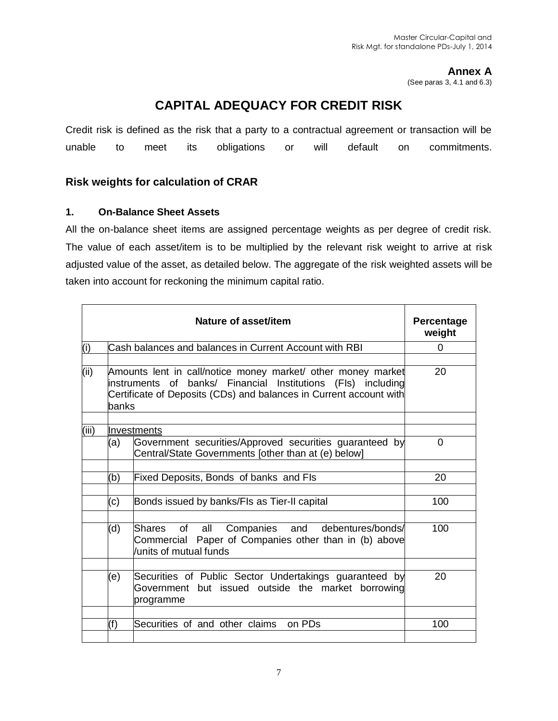**Annex A**

(See paras 3, 4.1 and 6.3)

# **CAPITAL ADEQUACY FOR CREDIT RISK**

Credit risk is defined as the risk that a party to a contractual agreement or transaction will be unable to meet its obligations or will default on commitments.

# **Risk weights for calculation of CRAR**

# **1. On-Balance Sheet Assets**

All the on-balance sheet items are assigned percentage weights as per degree of credit risk. The value of each asset/item is to be multiplied by the relevant risk weight to arrive at risk adjusted value of the asset, as detailed below. The aggregate of the risk weighted assets will be taken into account for reckoning the minimum capital ratio.

|       |                                                                                                                                                                                                             | Nature of asset/item                                                                                                                      | Percentage<br>weight |
|-------|-------------------------------------------------------------------------------------------------------------------------------------------------------------------------------------------------------------|-------------------------------------------------------------------------------------------------------------------------------------------|----------------------|
| (i)   |                                                                                                                                                                                                             | Cash balances and balances in Current Account with RBI                                                                                    | 0                    |
| (ii)  | Amounts lent in call/notice money market/ other money market<br>instruments of banks/ Financial Institutions (FIs) including<br>Certificate of Deposits (CDs) and balances in Current account with<br>banks |                                                                                                                                           |                      |
| (iii) |                                                                                                                                                                                                             | llnvestments                                                                                                                              |                      |
|       | (a)                                                                                                                                                                                                         | Government securities/Approved securities guaranteed by<br>Central/State Governments [other than at (e) below]                            | 0                    |
|       |                                                                                                                                                                                                             |                                                                                                                                           |                      |
|       | (b)                                                                                                                                                                                                         | Fixed Deposits, Bonds of banks and FIs                                                                                                    | 20                   |
|       | (c)                                                                                                                                                                                                         | Bonds issued by banks/FIs as Tier-II capital                                                                                              | 100                  |
|       | (d)                                                                                                                                                                                                         | Companies and<br>of all<br>debentures/bonds/<br>lShares<br>Commercial Paper of Companies other than in (b) above<br>units of mutual funds | 100                  |
|       | (e)                                                                                                                                                                                                         | Securities of Public Sector Undertakings guaranteed by<br>Government but issued outside the market borrowing<br>programme                 | 20                   |
|       | (f)                                                                                                                                                                                                         | Securities of and other claims<br>on PDs                                                                                                  | 100                  |
|       |                                                                                                                                                                                                             |                                                                                                                                           |                      |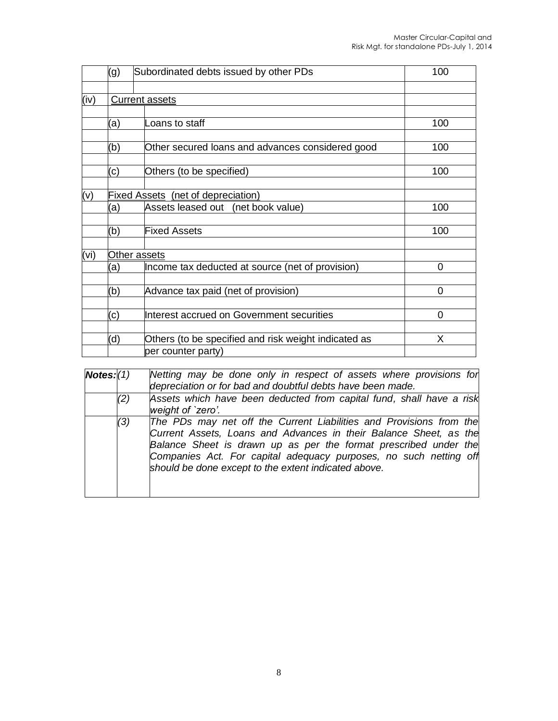|      | (g)                                       | Subordinated debts issued by other PDs               | 100 |
|------|-------------------------------------------|------------------------------------------------------|-----|
|      |                                           |                                                      |     |
| (iv) |                                           | <b>Current assets</b>                                |     |
|      | (a)                                       | Loans to staff                                       | 100 |
|      | (b)                                       | Other secured loans and advances considered good     | 100 |
|      | (c)                                       | Others (to be specified)                             | 100 |
| (v)  | <b>Fixed Assets</b> (net of depreciation) |                                                      |     |
|      | (a)                                       | Assets leased out (net book value)                   | 100 |
|      | (b)                                       | <b>Fixed Assets</b>                                  | 100 |
| (vi) |                                           | Other assets                                         |     |
|      | (a)                                       | Income tax deducted at source (net of provision)     | 0   |
|      | (b)                                       | Advance tax paid (net of provision)                  | 0   |
|      | (c)                                       | Interest accrued on Government securities            | 0   |
|      | (d)                                       | Others (to be specified and risk weight indicated as | X   |
|      |                                           | per counter party)                                   |     |

| Notes: (1) |     | Netting may be done only in respect of assets where provisions for<br>depreciation or for bad and doubtful debts have been made.                                                                                                                                                                                                          |  |  |
|------------|-----|-------------------------------------------------------------------------------------------------------------------------------------------------------------------------------------------------------------------------------------------------------------------------------------------------------------------------------------------|--|--|
|            | (2) | Assets which have been deducted from capital fund, shall have a risk<br>weight of `zero'.                                                                                                                                                                                                                                                 |  |  |
|            | (3) | The PDs may net off the Current Liabilities and Provisions from the<br>Current Assets, Loans and Advances in their Balance Sheet, as the<br>Balance Sheet is drawn up as per the format prescribed under the<br>Companies Act. For capital adequacy purposes, no such netting off<br>should be done except to the extent indicated above. |  |  |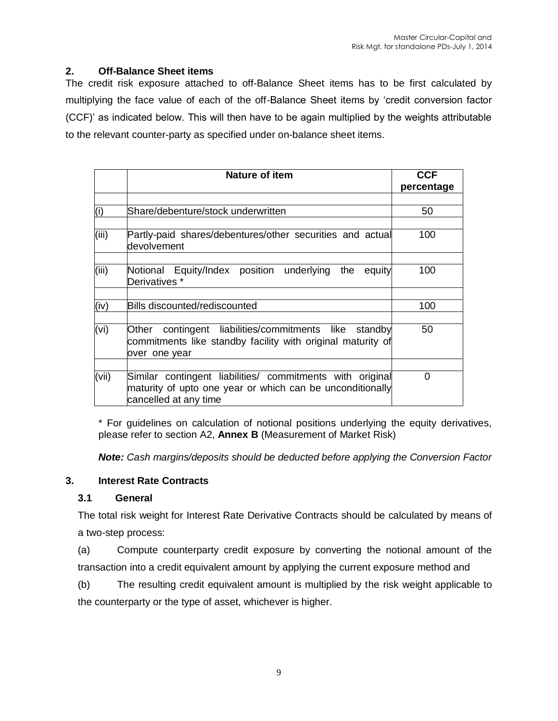# **2. Off-Balance Sheet items**

The credit risk exposure attached to off-Balance Sheet items has to be first calculated by multiplying the face value of each of the off-Balance Sheet items by 'credit conversion factor (CCF)' as indicated below. This will then have to be again multiplied by the weights attributable to the relevant counter-party as specified under on-balance sheet items.

|       | <b>Nature of item</b>                                                                                                                           | <b>CCF</b><br>percentage |
|-------|-------------------------------------------------------------------------------------------------------------------------------------------------|--------------------------|
|       |                                                                                                                                                 |                          |
| (i)   | Share/debenture/stock underwritten                                                                                                              | 50                       |
|       |                                                                                                                                                 |                          |
| (iii) | Partly-paid shares/debentures/other securities and actual<br>devolvement                                                                        | 100                      |
|       |                                                                                                                                                 |                          |
| (iii) | Notional Equity/Index position underlying the equity<br>Derivatives *                                                                           | 100                      |
|       |                                                                                                                                                 |                          |
| (iv)  | <b>Bills discounted/rediscounted</b>                                                                                                            | 100                      |
|       |                                                                                                                                                 |                          |
| (vi)  | Other contingent liabilities/commitments like standby<br>commitments like standby facility with original maturity of<br>over one year           | 50                       |
|       |                                                                                                                                                 |                          |
| (vii) | Similar contingent liabilities/ commitments with original<br>maturity of upto one year or which can be unconditionally<br>cancelled at any time | 0                        |

\* For guidelines on calculation of notional positions underlying the equity derivatives, please refer to section A2, **Annex B** (Measurement of Market Risk)

*Note: Cash margins/deposits should be deducted before applying the Conversion Factor*

#### **3. Interest Rate Contracts**

#### **3.1 General**

The total risk weight for Interest Rate Derivative Contracts should be calculated by means of a two-step process:

(a) Compute counterparty credit exposure by converting the notional amount of the transaction into a credit equivalent amount by applying the current exposure method and

(b) The resulting credit equivalent amount is multiplied by the risk weight applicable to the counterparty or the type of asset, whichever is higher.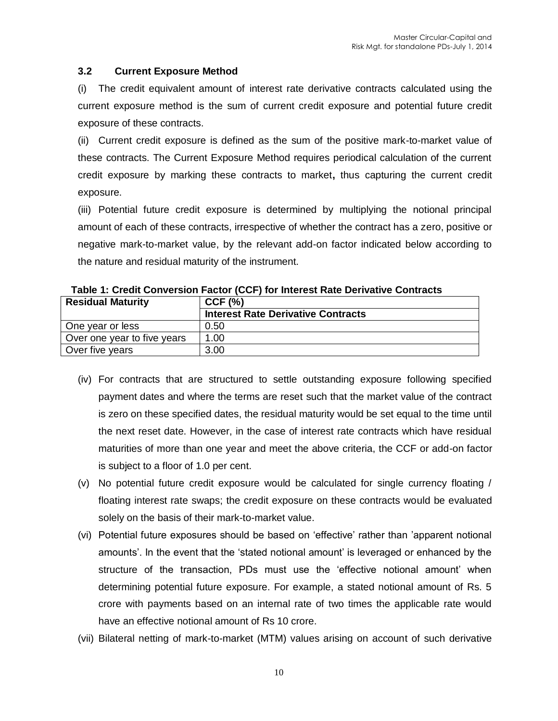#### **3.2 Current Exposure Method**

(i) The credit equivalent amount of interest rate derivative contracts calculated using the current exposure method is the sum of current credit exposure and potential future credit exposure of these contracts.

(ii) Current credit exposure is defined as the sum of the positive mark-to-market value of these contracts. The Current Exposure Method requires periodical calculation of the current credit exposure by marking these contracts to market**,** thus capturing the current credit exposure.

(iii) Potential future credit exposure is determined by multiplying the notional principal amount of each of these contracts, irrespective of whether the contract has a zero, positive or negative mark-to-market value, by the relevant add-on factor indicated below according to the nature and residual maturity of the instrument.

| <b>Residual Maturity</b>    | $CCF$ (%)                                 |
|-----------------------------|-------------------------------------------|
|                             | <b>Interest Rate Derivative Contracts</b> |
| One year or less            | 0.50                                      |
| Over one year to five years | 1.00                                      |
| Over five years             | 3.00                                      |

**Table 1: Credit Conversion Factor (CCF) for Interest Rate Derivative Contracts**

- (iv) For contracts that are structured to settle outstanding exposure following specified payment dates and where the terms are reset such that the market value of the contract is zero on these specified dates, the residual maturity would be set equal to the time until the next reset date. However, in the case of interest rate contracts which have residual maturities of more than one year and meet the above criteria, the CCF or add-on factor is subject to a floor of 1.0 per cent.
- (v) No potential future credit exposure would be calculated for single currency floating / floating interest rate swaps; the credit exposure on these contracts would be evaluated solely on the basis of their mark-to-market value.
- (vi) Potential future exposures should be based on 'effective' rather than 'apparent notional amounts'. In the event that the 'stated notional amount' is leveraged or enhanced by the structure of the transaction, PDs must use the 'effective notional amount' when determining potential future exposure. For example, a stated notional amount of Rs. 5 crore with payments based on an internal rate of two times the applicable rate would have an effective notional amount of Rs 10 crore.
- (vii) Bilateral netting of mark-to-market (MTM) values arising on account of such derivative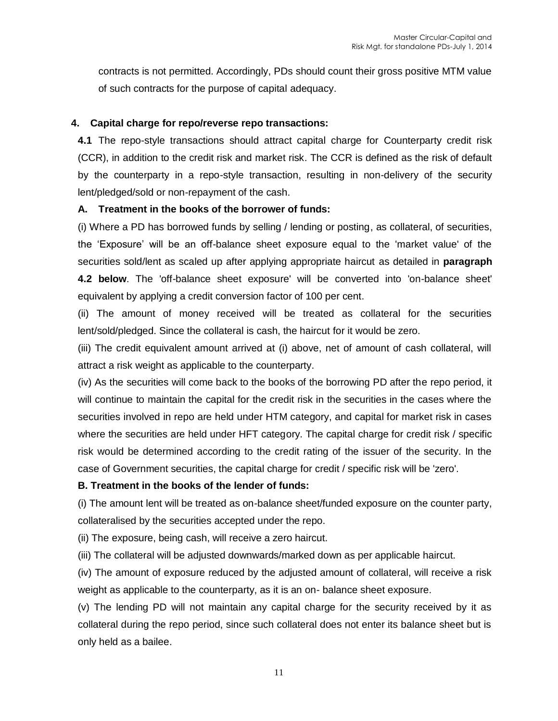contracts is not permitted. Accordingly, PDs should count their gross positive MTM value of such contracts for the purpose of capital adequacy.

# **4. Capital charge for repo/reverse repo transactions:**

**4.1** The repo-style transactions should attract capital charge for Counterparty credit risk (CCR), in addition to the credit risk and market risk. The CCR is defined as the risk of default by the counterparty in a repo-style transaction, resulting in non-delivery of the security lent/pledged/sold or non-repayment of the cash.

# **A. Treatment in the books of the borrower of funds:**

(i) Where a PD has borrowed funds by selling / lending or posting, as collateral, of securities, the 'Exposure' will be an off-balance sheet exposure equal to the 'market value' of the securities sold/lent as scaled up after applying appropriate haircut as detailed in **paragraph 4.2 below**. The 'off-balance sheet exposure' will be converted into 'on-balance sheet' equivalent by applying a credit conversion factor of 100 per cent.

(ii) The amount of money received will be treated as collateral for the securities lent/sold/pledged. Since the collateral is cash, the haircut for it would be zero.

(iii) The credit equivalent amount arrived at (i) above, net of amount of cash collateral, will attract a risk weight as applicable to the counterparty.

(iv) As the securities will come back to the books of the borrowing PD after the repo period, it will continue to maintain the capital for the credit risk in the securities in the cases where the securities involved in repo are held under HTM category, and capital for market risk in cases where the securities are held under HFT category. The capital charge for credit risk / specific risk would be determined according to the credit rating of the issuer of the security. In the case of Government securities, the capital charge for credit / specific risk will be 'zero'.

#### **B. Treatment in the books of the lender of funds:**

(i) The amount lent will be treated as on-balance sheet/funded exposure on the counter party, collateralised by the securities accepted under the repo.

(ii) The exposure, being cash, will receive a zero haircut.

(iii) The collateral will be adjusted downwards/marked down as per applicable haircut.

(iv) The amount of exposure reduced by the adjusted amount of collateral, will receive a risk weight as applicable to the counterparty, as it is an on- balance sheet exposure.

(v) The lending PD will not maintain any capital charge for the security received by it as collateral during the repo period, since such collateral does not enter its balance sheet but is only held as a bailee.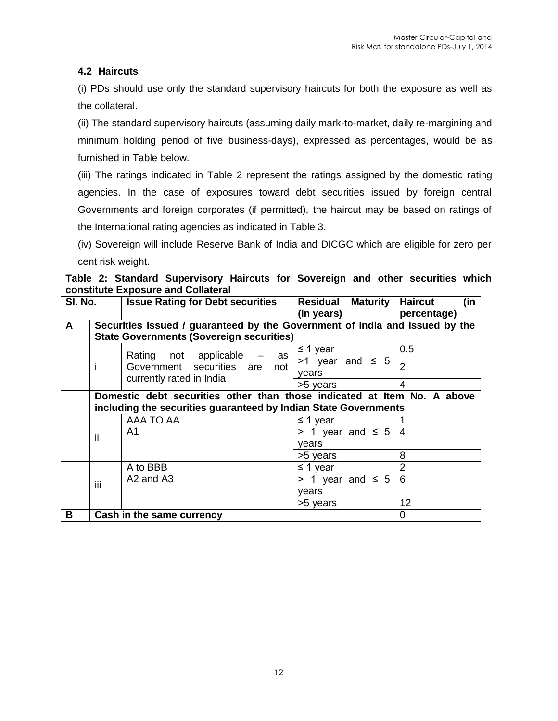# **4.2 Haircuts**

(i) PDs should use only the standard supervisory haircuts for both the exposure as well as the collateral.

(ii) The standard supervisory haircuts (assuming daily mark-to-market, daily re-margining and minimum holding period of five business-days), expressed as percentages, would be as furnished in Table below.

(iii) The ratings indicated in Table 2 represent the ratings assigned by the domestic rating agencies. In the case of exposures toward debt securities issued by foreign central Governments and foreign corporates (if permitted), the haircut may be based on ratings of the International rating agencies as indicated in Table 3.

(iv) Sovereign will include Reserve Bank of India and DICGC which are eligible for zero per cent risk weight.

**Table 2: Standard Supervisory Haircuts for Sovereign and other securities which constitute Exposure and Collateral**

| SI. No. |                                                                             | <b>Issue Rating for Debt securities</b>                         | Residual Maturity       | <b>Haircut</b><br>(in |  |
|---------|-----------------------------------------------------------------------------|-----------------------------------------------------------------|-------------------------|-----------------------|--|
|         |                                                                             |                                                                 | (in years)              | percentage)           |  |
| A       | Securities issued / guaranteed by the Government of India and issued by the |                                                                 |                         |                       |  |
|         |                                                                             | <b>State Governments (Sovereign securities)</b>                 |                         |                       |  |
|         |                                                                             |                                                                 | $\leq$ 1 year           | 0.5                   |  |
|         | ı                                                                           | Rating not applicable<br>as<br>Government securities are<br>not | $>1$ year and $\leq 5$  | 2                     |  |
|         |                                                                             |                                                                 | years                   |                       |  |
|         |                                                                             | currently rated in India                                        | >5 years                | 4                     |  |
|         | Domestic debt securities other than those indicated at Item No. A above     |                                                                 |                         |                       |  |
|         | including the securities guaranteed by Indian State Governments             |                                                                 |                         |                       |  |
|         |                                                                             | AAA TO AA                                                       | $\leq$ 1 year           |                       |  |
|         | Ϊİ                                                                          | A1                                                              | $> 1$ year and $\leq 5$ | 4                     |  |
|         |                                                                             |                                                                 | vears                   |                       |  |
|         |                                                                             |                                                                 | >5 years                | 8                     |  |
|         | iii                                                                         | A to BBB                                                        | $\leq$ 1 year           | 2                     |  |
|         |                                                                             | A <sub>2</sub> and A <sub>3</sub>                               | $> 1$ year and $\leq 5$ | 6                     |  |
|         |                                                                             |                                                                 | years                   |                       |  |
|         |                                                                             |                                                                 | >5 years                | 12                    |  |
| B       |                                                                             | Cash in the same currency                                       |                         | 0                     |  |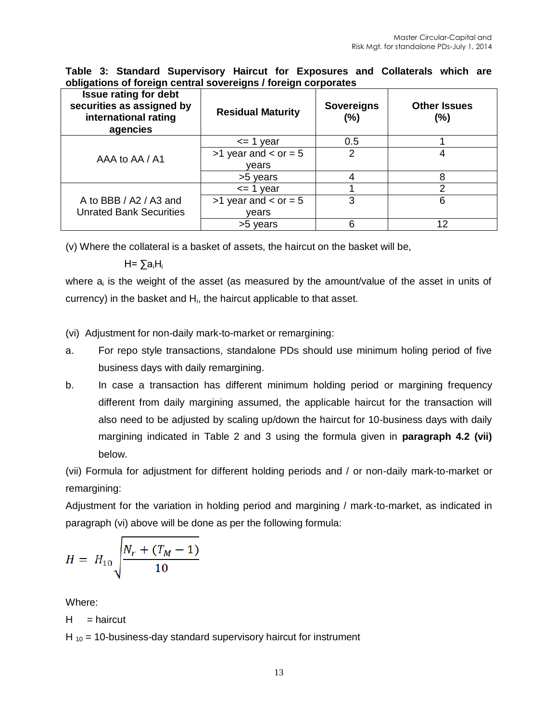| Issue rating for debt<br>securities as assigned by<br>international rating<br>agencies | <b>Residual Maturity</b> | <b>Sovereigns</b><br>(%) | <b>Other Issues</b><br>(%) |
|----------------------------------------------------------------------------------------|--------------------------|--------------------------|----------------------------|
|                                                                                        | $\leq$ 1 year            | 0.5                      |                            |
| AAA to AA / A1                                                                         | $>1$ year and $<$ or = 5 | 2                        |                            |
|                                                                                        | vears                    |                          |                            |
|                                                                                        | >5 years                 |                          |                            |
|                                                                                        | $\leq$ 1 year            |                          | っ                          |
| A to BBB / A2 / A3 and                                                                 | $>1$ year and $<$ or = 5 | 3                        | 6                          |
| <b>Unrated Bank Securities</b>                                                         | vears                    |                          |                            |
|                                                                                        | >5 years                 | 6                        | 12                         |

**Table 3: Standard Supervisory Haircut for Exposures and Collaterals which are obligations of foreign central sovereigns / foreign corporates**

(v) Where the collateral is a basket of assets, the haircut on the basket will be,

H= ∑aiH<sup>i</sup>

where a<sub>i</sub> is the weight of the asset (as measured by the amount/value of the asset in units of currency) in the basket and  $H<sub>i</sub>$ , the haircut applicable to that asset.

(vi) Adjustment for non-daily mark-to-market or remargining:

- a. For repo style transactions, standalone PDs should use minimum holing period of five business days with daily remargining.
- b. In case a transaction has different minimum holding period or margining frequency different from daily margining assumed, the applicable haircut for the transaction will also need to be adjusted by scaling up/down the haircut for 10-business days with daily margining indicated in Table 2 and 3 using the formula given in **paragraph 4.2 (vii)** below.

(vii) Formula for adjustment for different holding periods and / or non-daily mark-to-market or remargining:

Adjustment for the variation in holding period and margining / mark-to-market, as indicated in paragraph (vi) above will be done as per the following formula:

$$
H = H_{10} \sqrt{\frac{N_r + (T_M - 1)}{10}}
$$

Where:

$$
H = \text{haircut}
$$

H  $_{10}$  = 10-business-day standard supervisory haircut for instrument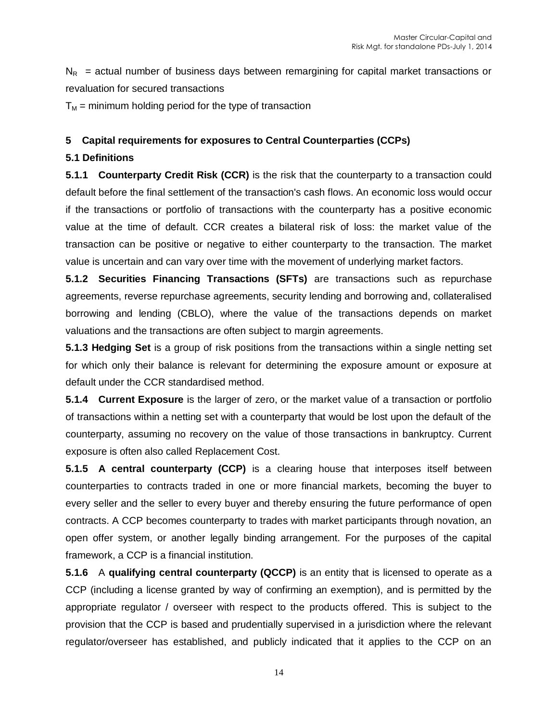$N_R$  = actual number of business days between remargining for capital market transactions or revaluation for secured transactions

 $T_M$  = minimum holding period for the type of transaction

# **5 Capital requirements for exposures to Central Counterparties (CCPs)**

# **5.1 Definitions**

**5.1.1 Counterparty Credit Risk (CCR)** is the risk that the counterparty to a transaction could default before the final settlement of the transaction's cash flows. An economic loss would occur if the transactions or portfolio of transactions with the counterparty has a positive economic value at the time of default. CCR creates a bilateral risk of loss: the market value of the transaction can be positive or negative to either counterparty to the transaction. The market value is uncertain and can vary over time with the movement of underlying market factors.

**5.1.2 Securities Financing Transactions (SFTs)** are transactions such as repurchase agreements, reverse repurchase agreements, security lending and borrowing and, collateralised borrowing and lending (CBLO), where the value of the transactions depends on market valuations and the transactions are often subject to margin agreements.

**5.1.3 Hedging Set** is a group of risk positions from the transactions within a single netting set for which only their balance is relevant for determining the exposure amount or exposure at default under the CCR standardised method.

**5.1.4 Current Exposure** is the larger of zero, or the market value of a transaction or portfolio of transactions within a netting set with a counterparty that would be lost upon the default of the counterparty, assuming no recovery on the value of those transactions in bankruptcy. Current exposure is often also called Replacement Cost.

**5.1.5 A central counterparty (CCP)** is a clearing house that interposes itself between counterparties to contracts traded in one or more financial markets, becoming the buyer to every seller and the seller to every buyer and thereby ensuring the future performance of open contracts. A CCP becomes counterparty to trades with market participants through novation, an open offer system, or another legally binding arrangement. For the purposes of the capital framework, a CCP is a financial institution.

**5.1.6** A **qualifying central counterparty (QCCP)** is an entity that is licensed to operate as a CCP (including a license granted by way of confirming an exemption), and is permitted by the appropriate regulator / overseer with respect to the products offered. This is subject to the provision that the CCP is based and prudentially supervised in a jurisdiction where the relevant regulator/overseer has established, and publicly indicated that it applies to the CCP on an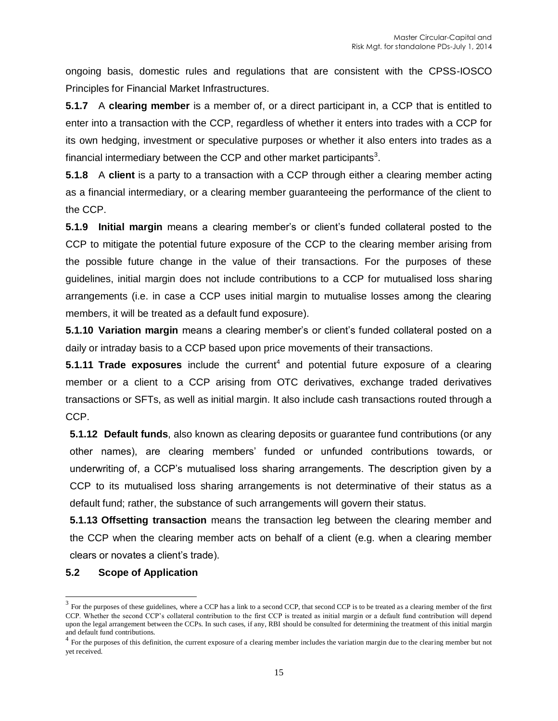ongoing basis, domestic rules and regulations that are consistent with the CPSS-IOSCO Principles for Financial Market Infrastructures.

**5.1.7** A **clearing member** is a member of, or a direct participant in, a CCP that is entitled to enter into a transaction with the CCP, regardless of whether it enters into trades with a CCP for its own hedging, investment or speculative purposes or whether it also enters into trades as a financial intermediary between the CCP and other market participants<sup>3</sup>.

**5.1.8** A **client** is a party to a transaction with a CCP through either a clearing member acting as a financial intermediary, or a clearing member guaranteeing the performance of the client to the CCP.

**5.1.9 Initial margin** means a clearing member's or client's funded collateral posted to the CCP to mitigate the potential future exposure of the CCP to the clearing member arising from the possible future change in the value of their transactions. For the purposes of these guidelines, initial margin does not include contributions to a CCP for mutualised loss sharing arrangements (i.e. in case a CCP uses initial margin to mutualise losses among the clearing members, it will be treated as a default fund exposure).

**5.1.10 Variation margin** means a clearing member's or client's funded collateral posted on a daily or intraday basis to a CCP based upon price movements of their transactions.

**5.1.11 Trade exposures** include the current<sup>4</sup> and potential future exposure of a clearing member or a client to a CCP arising from OTC derivatives, exchange traded derivatives transactions or SFTs, as well as initial margin. It also include cash transactions routed through a CCP.

**5.1.12 Default funds**, also known as clearing deposits or guarantee fund contributions (or any other names), are clearing members' funded or unfunded contributions towards, or underwriting of, a CCP's mutualised loss sharing arrangements. The description given by a CCP to its mutualised loss sharing arrangements is not determinative of their status as a default fund; rather, the substance of such arrangements will govern their status.

**5.1.13 Offsetting transaction** means the transaction leg between the clearing member and the CCP when the clearing member acts on behalf of a client (e.g. when a clearing member clears or novates a client's trade).

#### **5.2 Scope of Application**

 $\overline{\phantom{a}}$ 

 $3 \text{ For the purposes of these guidelines, where a CCP has a link to a second CCP, that second CCP is to be treated as a clearing member of the first$ CCP. Whether the second CCP's collateral contribution to the first CCP is treated as initial margin or a default fund contribution will depend upon the legal arrangement between the CCPs. In such cases, if any, RBI should be consulted for determining the treatment of this initial margin and default fund contributions.<br><sup>4</sup> For the purposes of this definition, the current exposure of a clearing member includes the variation margin due to the clearing member but not

yet received.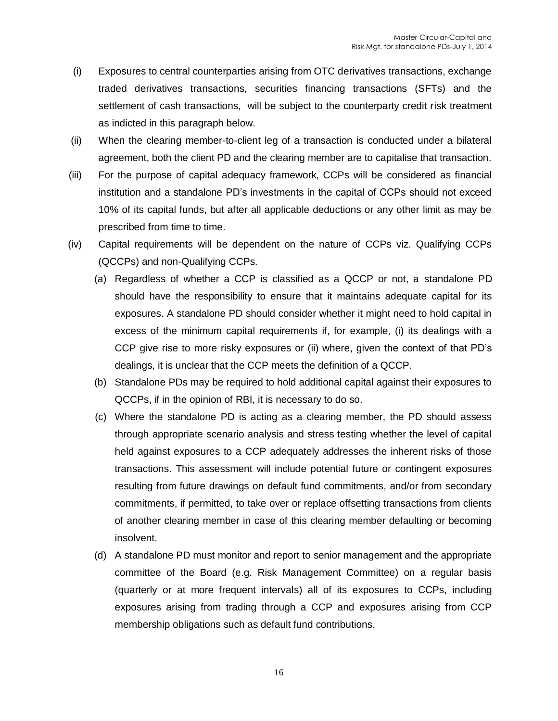- (i) Exposures to central counterparties arising from OTC derivatives transactions, exchange traded derivatives transactions, securities financing transactions (SFTs) and the settlement of cash transactions, will be subject to the counterparty credit risk treatment as indicted in this paragraph below.
- (ii) When the clearing member-to-client leg of a transaction is conducted under a bilateral agreement, both the client PD and the clearing member are to capitalise that transaction.
- (iii) For the purpose of capital adequacy framework, CCPs will be considered as financial institution and a standalone PD's investments in the capital of CCPs should not exceed 10% of its capital funds, but after all applicable deductions or any other limit as may be prescribed from time to time.
- (iv) Capital requirements will be dependent on the nature of CCPs viz. Qualifying CCPs (QCCPs) and non-Qualifying CCPs.
	- (a) Regardless of whether a CCP is classified as a QCCP or not, a standalone PD should have the responsibility to ensure that it maintains adequate capital for its exposures. A standalone PD should consider whether it might need to hold capital in excess of the minimum capital requirements if, for example, (i) its dealings with a CCP give rise to more risky exposures or (ii) where, given the context of that PD's dealings, it is unclear that the CCP meets the definition of a QCCP.
	- (b) Standalone PDs may be required to hold additional capital against their exposures to QCCPs, if in the opinion of RBI, it is necessary to do so.
	- (c) Where the standalone PD is acting as a clearing member, the PD should assess through appropriate scenario analysis and stress testing whether the level of capital held against exposures to a CCP adequately addresses the inherent risks of those transactions. This assessment will include potential future or contingent exposures resulting from future drawings on default fund commitments, and/or from secondary commitments, if permitted, to take over or replace offsetting transactions from clients of another clearing member in case of this clearing member defaulting or becoming insolvent.
	- (d) A standalone PD must monitor and report to senior management and the appropriate committee of the Board (e.g. Risk Management Committee) on a regular basis (quarterly or at more frequent intervals) all of its exposures to CCPs, including exposures arising from trading through a CCP and exposures arising from CCP membership obligations such as default fund contributions.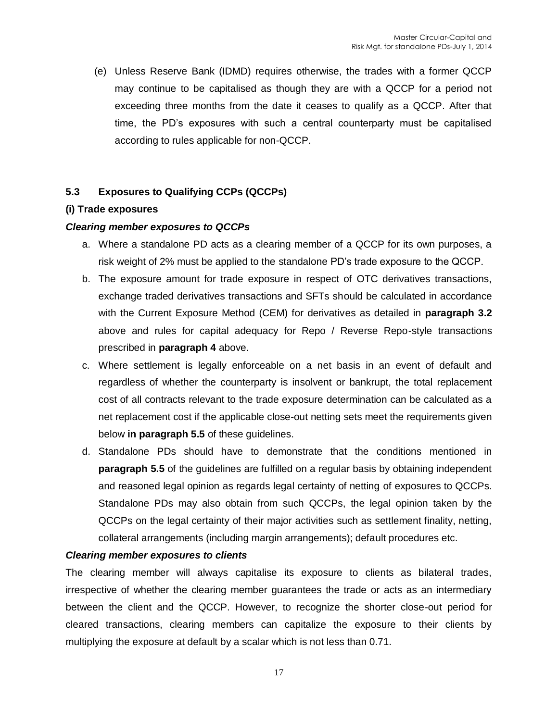(e) Unless Reserve Bank (IDMD) requires otherwise, the trades with a former QCCP may continue to be capitalised as though they are with a QCCP for a period not exceeding three months from the date it ceases to qualify as a QCCP. After that time, the PD's exposures with such a central counterparty must be capitalised according to rules applicable for non-QCCP.

# **5.3 Exposures to Qualifying CCPs (QCCPs)**

#### **(i) Trade exposures**

#### *Clearing member exposures to QCCPs*

- a. Where a standalone PD acts as a clearing member of a QCCP for its own purposes, a risk weight of 2% must be applied to the standalone PD's trade exposure to the QCCP.
- b. The exposure amount for trade exposure in respect of OTC derivatives transactions, exchange traded derivatives transactions and SFTs should be calculated in accordance with the Current Exposure Method (CEM) for derivatives as detailed in **paragraph 3.2** above and rules for capital adequacy for Repo / Reverse Repo-style transactions prescribed in **paragraph 4** above.
- c. Where settlement is legally enforceable on a net basis in an event of default and regardless of whether the counterparty is insolvent or bankrupt, the total replacement cost of all contracts relevant to the trade exposure determination can be calculated as a net replacement cost if the applicable close-out netting sets meet the requirements given below **in paragraph 5.5** of these guidelines.
- d. Standalone PDs should have to demonstrate that the conditions mentioned in **paragraph 5.5** of the guidelines are fulfilled on a regular basis by obtaining independent and reasoned legal opinion as regards legal certainty of netting of exposures to QCCPs. Standalone PDs may also obtain from such QCCPs, the legal opinion taken by the QCCPs on the legal certainty of their major activities such as settlement finality, netting, collateral arrangements (including margin arrangements); default procedures etc.

#### *Clearing member exposures to clients*

The clearing member will always capitalise its exposure to clients as bilateral trades, irrespective of whether the clearing member guarantees the trade or acts as an intermediary between the client and the QCCP. However, to recognize the shorter close-out period for cleared transactions, clearing members can capitalize the exposure to their clients by multiplying the exposure at default by a scalar which is not less than 0.71.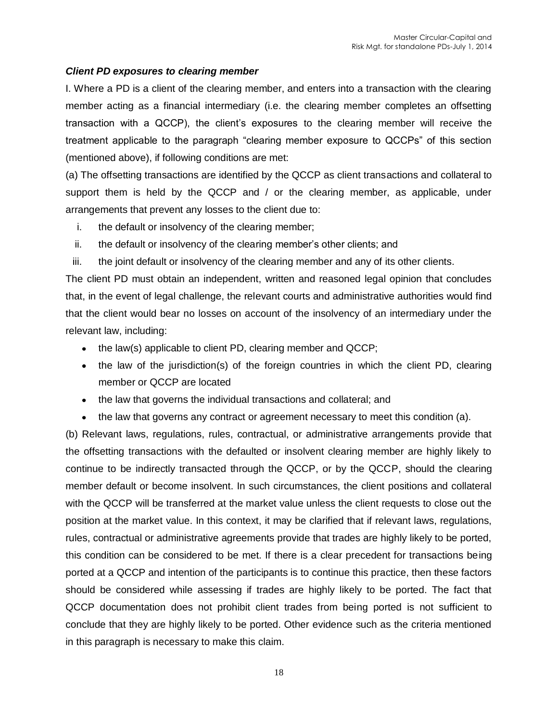#### *Client PD exposures to clearing member*

I. Where a PD is a client of the clearing member, and enters into a transaction with the clearing member acting as a financial intermediary (i.e. the clearing member completes an offsetting transaction with a QCCP), the client's exposures to the clearing member will receive the treatment applicable to the paragraph "clearing member exposure to QCCPs" of this section (mentioned above), if following conditions are met:

(a) The offsetting transactions are identified by the QCCP as client transactions and collateral to support them is held by the QCCP and / or the clearing member, as applicable, under arrangements that prevent any losses to the client due to:

- i. the default or insolvency of the clearing member;
- ii. the default or insolvency of the clearing member's other clients; and
- iii. the joint default or insolvency of the clearing member and any of its other clients.

The client PD must obtain an independent, written and reasoned legal opinion that concludes that, in the event of legal challenge, the relevant courts and administrative authorities would find that the client would bear no losses on account of the insolvency of an intermediary under the relevant law, including:

- the law(s) applicable to client PD, clearing member and QCCP;
- the law of the jurisdiction(s) of the foreign countries in which the client PD, clearing member or QCCP are located
- the law that governs the individual transactions and collateral; and
- the law that governs any contract or agreement necessary to meet this condition (a).

(b) Relevant laws, regulations, rules, contractual, or administrative arrangements provide that the offsetting transactions with the defaulted or insolvent clearing member are highly likely to continue to be indirectly transacted through the QCCP, or by the QCCP, should the clearing member default or become insolvent. In such circumstances, the client positions and collateral with the QCCP will be transferred at the market value unless the client requests to close out the position at the market value. In this context, it may be clarified that if relevant laws, regulations, rules, contractual or administrative agreements provide that trades are highly likely to be ported, this condition can be considered to be met. If there is a clear precedent for transactions being ported at a QCCP and intention of the participants is to continue this practice, then these factors should be considered while assessing if trades are highly likely to be ported. The fact that QCCP documentation does not prohibit client trades from being ported is not sufficient to conclude that they are highly likely to be ported. Other evidence such as the criteria mentioned in this paragraph is necessary to make this claim.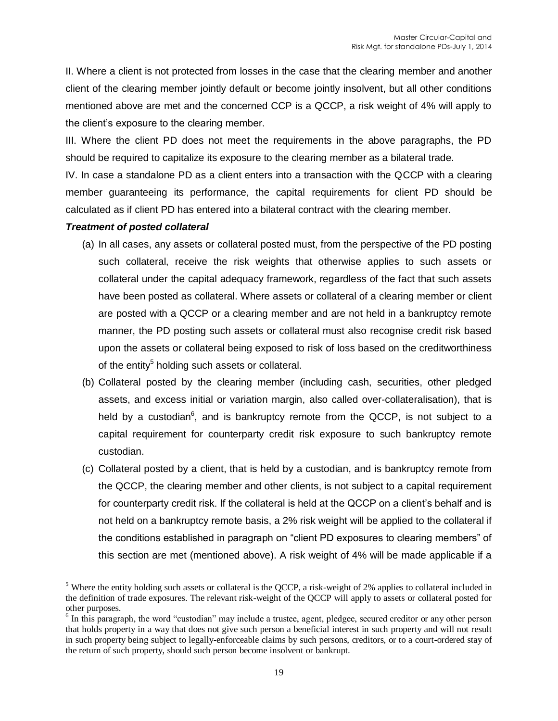II. Where a client is not protected from losses in the case that the clearing member and another client of the clearing member jointly default or become jointly insolvent, but all other conditions mentioned above are met and the concerned CCP is a QCCP, a risk weight of 4% will apply to the client's exposure to the clearing member.

III. Where the client PD does not meet the requirements in the above paragraphs, the PD should be required to capitalize its exposure to the clearing member as a bilateral trade.

IV. In case a standalone PD as a client enters into a transaction with the QCCP with a clearing member guaranteeing its performance, the capital requirements for client PD should be calculated as if client PD has entered into a bilateral contract with the clearing member.

#### *Treatment of posted collateral*

 $\overline{\phantom{a}}$ 

- (a) In all cases, any assets or collateral posted must, from the perspective of the PD posting such collateral, receive the risk weights that otherwise applies to such assets or collateral under the capital adequacy framework, regardless of the fact that such assets have been posted as collateral. Where assets or collateral of a clearing member or client are posted with a QCCP or a clearing member and are not held in a bankruptcy remote manner, the PD posting such assets or collateral must also recognise credit risk based upon the assets or collateral being exposed to risk of loss based on the creditworthiness of the entity<sup>5</sup> holding such assets or collateral.
- (b) Collateral posted by the clearing member (including cash, securities, other pledged assets, and excess initial or variation margin, also called over-collateralisation), that is held by a custodian<sup>6</sup>, and is bankruptcy remote from the QCCP, is not subject to a capital requirement for counterparty credit risk exposure to such bankruptcy remote custodian.
- (c) Collateral posted by a client, that is held by a custodian, and is bankruptcy remote from the QCCP, the clearing member and other clients, is not subject to a capital requirement for counterparty credit risk. If the collateral is held at the QCCP on a client's behalf and is not held on a bankruptcy remote basis, a 2% risk weight will be applied to the collateral if the conditions established in paragraph on "client PD exposures to clearing members" of this section are met (mentioned above). A risk weight of 4% will be made applicable if a

<sup>&</sup>lt;sup>5</sup> Where the entity holding such assets or collateral is the QCCP, a risk-weight of 2% applies to collateral included in the definition of trade exposures. The relevant risk-weight of the QCCP will apply to assets or collateral posted for other purposes.

<sup>&</sup>lt;sup>6</sup> In this paragraph, the word "custodian" may include a trustee, agent, pledgee, secured creditor or any other person that holds property in a way that does not give such person a beneficial interest in such property and will not result in such property being subject to legally-enforceable claims by such persons, creditors, or to a court-ordered stay of the return of such property, should such person become insolvent or bankrupt.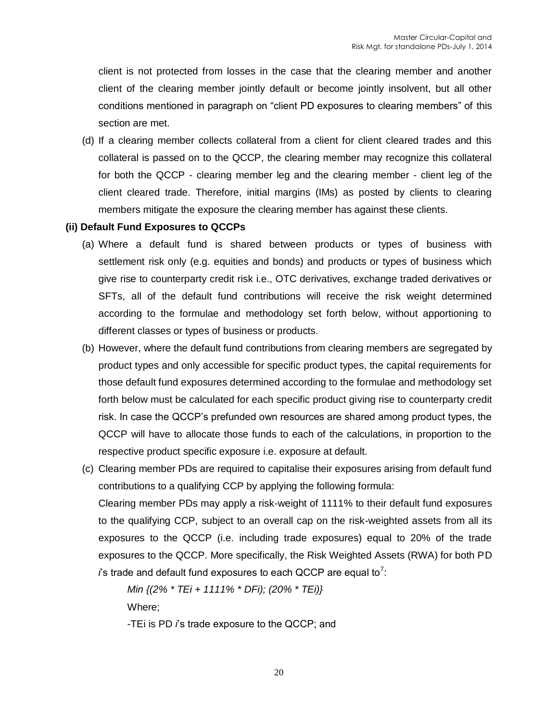client is not protected from losses in the case that the clearing member and another client of the clearing member jointly default or become jointly insolvent, but all other conditions mentioned in paragraph on "client PD exposures to clearing members" of this section are met.

(d) If a clearing member collects collateral from a client for client cleared trades and this collateral is passed on to the QCCP, the clearing member may recognize this collateral for both the QCCP - clearing member leg and the clearing member - client leg of the client cleared trade. Therefore, initial margins (IMs) as posted by clients to clearing members mitigate the exposure the clearing member has against these clients.

#### **(ii) Default Fund Exposures to QCCPs**

- (a) Where a default fund is shared between products or types of business with settlement risk only (e.g. equities and bonds) and products or types of business which give rise to counterparty credit risk i.e., OTC derivatives, exchange traded derivatives or SFTs, all of the default fund contributions will receive the risk weight determined according to the formulae and methodology set forth below, without apportioning to different classes or types of business or products.
- (b) However, where the default fund contributions from clearing members are segregated by product types and only accessible for specific product types, the capital requirements for those default fund exposures determined according to the formulae and methodology set forth below must be calculated for each specific product giving rise to counterparty credit risk. In case the QCCP's prefunded own resources are shared among product types, the QCCP will have to allocate those funds to each of the calculations, in proportion to the respective product specific exposure i.e. exposure at default.
- (c) Clearing member PDs are required to capitalise their exposures arising from default fund contributions to a qualifying CCP by applying the following formula:

Clearing member PDs may apply a risk-weight of 1111% to their default fund exposures to the qualifying CCP, subject to an overall cap on the risk-weighted assets from all its exposures to the QCCP (i.e. including trade exposures) equal to 20% of the trade exposures to the QCCP. More specifically, the Risk Weighted Assets (RWA) for both PD *i*s trade and default fund exposures to each QCCP are equal to<sup>7</sup>:

*Min {(2% \* TEi + 1111% \* DFi); (20% \* TEi)}* Where;

-TEi is PD *i*'s trade exposure to the QCCP; and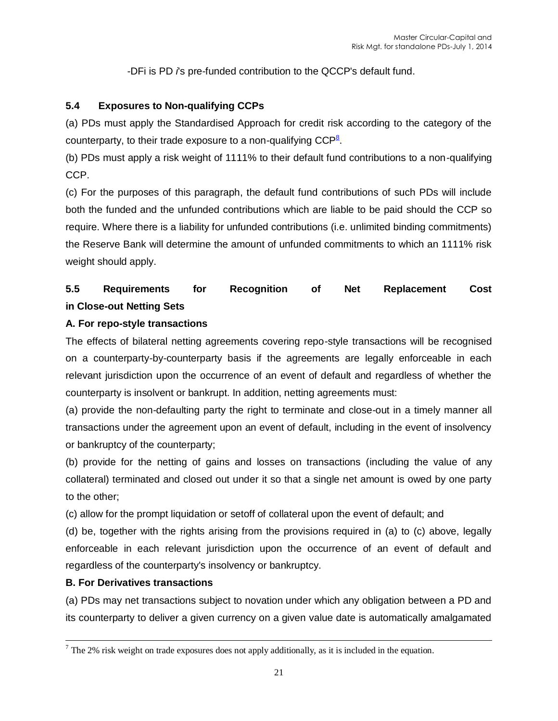-DFi is PD *i*'s pre-funded contribution to the QCCP's default fund.

# **5.4 Exposures to Non-qualifying CCPs**

(a) PDs must apply the Standardised Approach for credit risk according to the category of the counterparty, to their trade exposure to a non-qualifying  $\mathsf{CCP}^{\underline{\mathbf{8}}}$  $\mathsf{CCP}^{\underline{\mathbf{8}}}$  $\mathsf{CCP}^{\underline{\mathbf{8}}}$ .

(b) PDs must apply a risk weight of 1111% to their default fund contributions to a non-qualifying CCP.

(c) For the purposes of this paragraph, the default fund contributions of such PDs will include both the funded and the unfunded contributions which are liable to be paid should the CCP so require. Where there is a liability for unfunded contributions (i.e. unlimited binding commitments) the Reserve Bank will determine the amount of unfunded commitments to which an 1111% risk weight should apply.

# **5.5 Requirements for Recognition of Net Replacement Cost in Close-out Netting Sets**

# **A. For repo-style transactions**

The effects of bilateral netting agreements covering repo-style transactions will be recognised on a counterparty-by-counterparty basis if the agreements are legally enforceable in each relevant jurisdiction upon the occurrence of an event of default and regardless of whether the counterparty is insolvent or bankrupt. In addition, netting agreements must:

(a) provide the non-defaulting party the right to terminate and close-out in a timely manner all transactions under the agreement upon an event of default, including in the event of insolvency or bankruptcy of the counterparty;

(b) provide for the netting of gains and losses on transactions (including the value of any collateral) terminated and closed out under it so that a single net amount is owed by one party to the other;

(c) allow for the prompt liquidation or setoff of collateral upon the event of default; and

(d) be, together with the rights arising from the provisions required in (a) to (c) above, legally enforceable in each relevant jurisdiction upon the occurrence of an event of default and regardless of the counterparty's insolvency or bankruptcy.

# **B. For Derivatives transactions**

 $\overline{a}$ 

(a) PDs may net transactions subject to novation under which any obligation between a PD and its counterparty to deliver a given currency on a given value date is automatically amalgamated

 $<sup>7</sup>$  The 2% risk weight on trade exposures does not apply additionally, as it is included in the equation.</sup>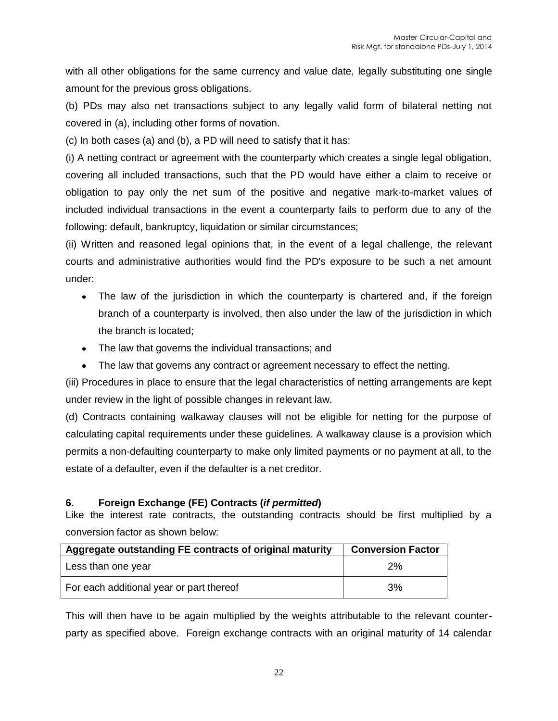with all other obligations for the same currency and value date, legally substituting one single amount for the previous gross obligations.

(b) PDs may also net transactions subject to any legally valid form of bilateral netting not covered in (a), including other forms of novation.

(c) In both cases (a) and (b), a PD will need to satisfy that it has:

(i) A netting contract or agreement with the counterparty which creates a single legal obligation, covering all included transactions, such that the PD would have either a claim to receive or obligation to pay only the net sum of the positive and negative mark-to-market values of included individual transactions in the event a counterparty fails to perform due to any of the following: default, bankruptcy, liquidation or similar circumstances;

(ii) Written and reasoned legal opinions that, in the event of a legal challenge, the relevant courts and administrative authorities would find the PD's exposure to be such a net amount under:

- The law of the jurisdiction in which the counterparty is chartered and, if the foreign branch of a counterparty is involved, then also under the law of the jurisdiction in which the branch is located;
- The law that governs the individual transactions; and
- The law that governs any contract or agreement necessary to effect the netting.

(iii) Procedures in place to ensure that the legal characteristics of netting arrangements are kept under review in the light of possible changes in relevant law.

(d) Contracts containing walkaway clauses will not be eligible for netting for the purpose of calculating capital requirements under these guidelines. A walkaway clause is a provision which permits a non-defaulting counterparty to make only limited payments or no payment at all, to the estate of a defaulter, even if the defaulter is a net creditor.

# **6. Foreign Exchange (FE) Contracts (***if permitted***)**

Like the interest rate contracts, the outstanding contracts should be first multiplied by a conversion factor as shown below:

| Aggregate outstanding FE contracts of original maturity | <b>Conversion Factor</b> |
|---------------------------------------------------------|--------------------------|
| Less than one year                                      | 2%                       |
| For each additional year or part thereof                | 3%                       |

This will then have to be again multiplied by the weights attributable to the relevant counterparty as specified above. Foreign exchange contracts with an original maturity of 14 calendar